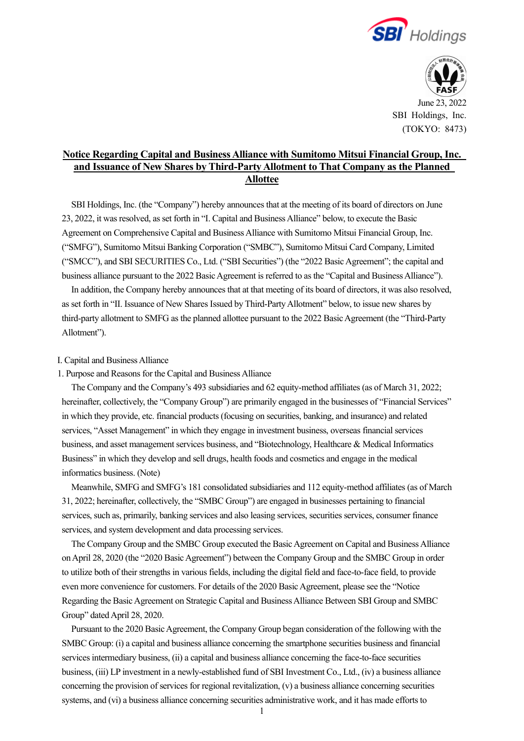



June 23, 2022 SBI Holdings, Inc. (TOKYO: 8473)

# **Notice Regarding Capital and Business Alliance with Sumitomo Mitsui Financial Group, Inc. and Issuance of New Shares by Third-Party Allotment to That Company as the Planned Allottee**

SBI Holdings, Inc. (the "Company") hereby announces that at the meeting of its board of directors on June 23, 2022, it was resolved, as set forth in "I. Capital and Business Alliance" below, to execute the Basic Agreement on Comprehensive Capital and Business Alliance with Sumitomo Mitsui Financial Group, Inc. ("SMFG"), Sumitomo Mitsui Banking Corporation ("SMBC"), Sumitomo Mitsui Card Company, Limited ("SMCC"), and SBI SECURITIES Co., Ltd. ("SBI Securities") (the "2022 Basic Agreement"; the capital and business alliance pursuant to the 2022 Basic Agreement is referred to as the "Capital and Business Alliance").

In addition, the Company hereby announces that at that meeting of its board of directors, it was also resolved, as set forth in "II. Issuance of New Shares Issued by Third-Party Allotment" below, to issue new shares by third-party allotment to SMFG as the planned allottee pursuant to the 2022 Basic Agreement (the "Third-Party Allotment").

#### I. Capital and Business Alliance

1. Purpose and Reasons for the Capital and Business Alliance

The Company and the Company's 493 subsidiaries and 62 equity-method affiliates (as of March 31, 2022; hereinafter, collectively, the "Company Group") are primarily engaged in the businesses of "Financial Services" in which they provide, etc. financial products (focusing on securities, banking, and insurance) and related services, "Asset Management" in which they engage in investment business, overseas financial services business, and asset management services business, and "Biotechnology, Healthcare & Medical Informatics Business" in which they develop and sell drugs, health foods and cosmetics and engage in the medical informatics business. (Note)

Meanwhile, SMFG and SMFG's 181 consolidated subsidiaries and 112 equity-method affiliates (as of March 31, 2022; hereinafter, collectively, the "SMBC Group") are engaged in businesses pertaining to financial services, such as, primarily, banking services and also leasing services, securities services, consumer finance services, and system development and data processing services.

The Company Group and the SMBC Group executed the Basic Agreement on Capital and Business Alliance on April 28, 2020 (the "2020 Basic Agreement") between the Company Group and the SMBC Group in order to utilize both of their strengths in various fields, including the digital field and face-to-face field, to provide even more convenience for customers. For details of the 2020 Basic Agreement, please see the "Notice Regarding the Basic Agreement on Strategic Capital and Business Alliance Between SBI Group and SMBC Group" dated April 28, 2020.

Pursuant to the 2020 Basic Agreement, the Company Group began consideration of the following with the SMBC Group: (i) a capital and business alliance concerning the smartphone securities business and financial services intermediary business, (ii) a capital and business alliance concerning the face-to-face securities business, (iii) LP investment in a newly-established fund of SBI Investment Co., Ltd., (iv) a business alliance concerning the provision of services for regional revitalization, (v) a business alliance concerning securities systems, and (vi) a business alliance concerning securities administrative work, and it has made efforts to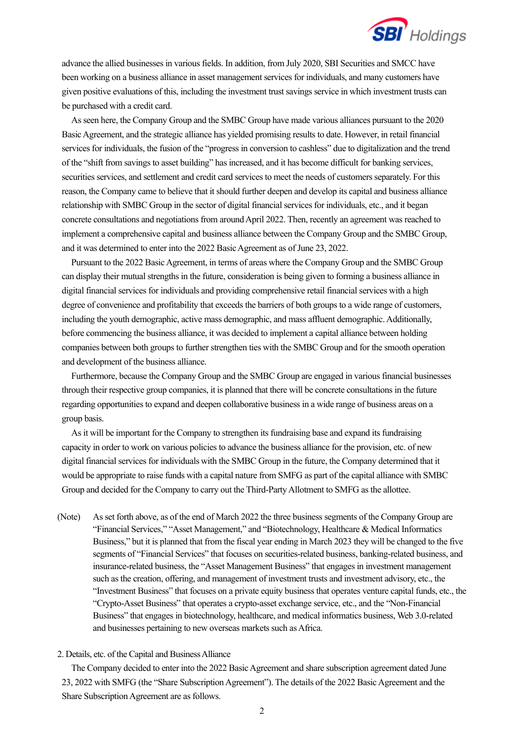

advance the allied businesses in various fields. In addition, from July 2020, SBI Securities and SMCC have been working on a business alliance in asset management services for individuals, and many customers have given positive evaluations of this, including the investment trust savings service in which investment trusts can be purchased with a credit card.

As seen here, the Company Group and the SMBC Group have made various alliances pursuant to the 2020 Basic Agreement, and the strategic alliance has yielded promising results to date. However, in retail financial services for individuals, the fusion of the "progress in conversion to cashless" due to digitalization and the trend of the "shift from savings to asset building" has increased, and it has become difficult for banking services, securities services, and settlement and credit card services to meet the needs of customers separately. For this reason, the Company came to believe that it should further deepen and develop its capital and business alliance relationship with SMBC Group in the sector of digital financial services for individuals, etc., and it began concrete consultations and negotiations from around April 2022. Then, recently an agreement was reached to implement a comprehensive capital and business alliance between the Company Group and the SMBC Group, and it was determined to enter into the 2022 Basic Agreement as of June 23, 2022.

Pursuant to the 2022 Basic Agreement, in terms of areas where the Company Group and the SMBC Group can display their mutual strengths in the future, consideration is being given to forming a business alliance in digital financial services for individuals and providing comprehensive retail financial services with a high degree of convenience and profitability that exceeds the barriers of both groups to a wide range of customers, including the youth demographic, active mass demographic, and mass affluent demographic. Additionally, before commencing the business alliance, it was decided to implement a capital alliance between holding companies between both groups to further strengthen ties with the SMBC Group and for the smooth operation and development of the business alliance.

Furthermore, because the Company Group and the SMBC Group are engaged in various financial businesses through their respective group companies, it is planned that there will be concrete consultations in the future regarding opportunities to expand and deepen collaborative business in a wide range of business areas on a group basis.

As it will be important for the Company to strengthen its fundraising base and expand its fundraising capacity in order to work on various policies to advance the business alliance for the provision, etc. of new digital financial services for individuals with the SMBC Group in the future, the Company determined that it would be appropriate to raise funds with a capital nature from SMFG as part of the capital alliance with SMBC Group and decided for the Company to carry out the Third-Party Allotment to SMFG as the allottee.

(Note) As set forth above, as of the end of March 2022 the three business segments of the Company Group are "Financial Services," "Asset Management," and "Biotechnology, Healthcare & Medical Informatics Business," but it is planned that from the fiscal year ending in March 2023 they will be changed to the five segments of "Financial Services" that focuses on securities-related business, banking-related business, and insurance-related business, the "Asset Management Business" that engages in investment management such as the creation, offering, and management of investment trusts and investment advisory, etc., the "Investment Business" that focuses on a private equity business that operates venture capital funds, etc., the "Crypto-Asset Business" that operates a crypto-asset exchange service, etc., and the "Non-Financial Business" that engages in biotechnology, healthcare, and medical informatics business, Web 3.0-related and businesses pertaining to new overseas markets such as Africa.

#### 2. Details, etc. of the Capital and Business Alliance

The Company decided to enter into the 2022 Basic Agreement and share subscription agreement dated June 23, 2022 with SMFG (the "Share Subscription Agreement"). The details of the 2022 Basic Agreement and the Share Subscription Agreement are as follows.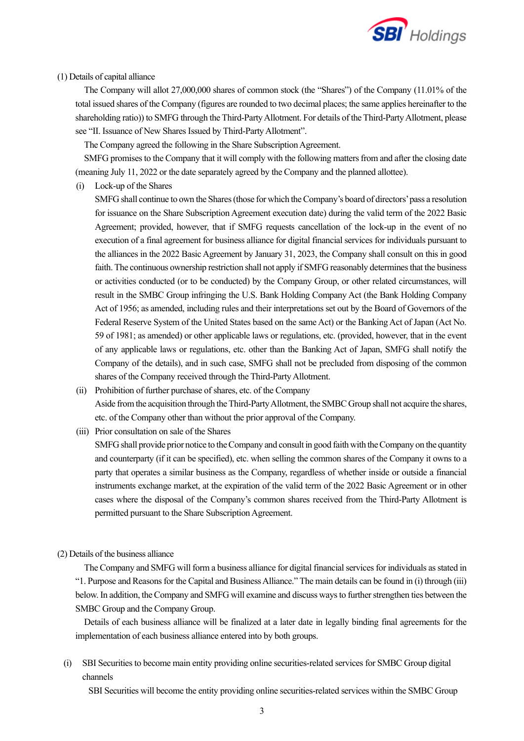

### (1) Details of capital alliance

The Company will allot 27,000,000 shares of common stock (the "Shares") of the Company (11.01% of the total issued shares of the Company (figures are rounded to two decimal places; the same applies hereinafter to the shareholding ratio)) to SMFG through the Third-Party Allotment. For details of the Third-Party Allotment, please see "II. Issuance of New Shares Issued by Third-Party Allotment".

The Company agreed the following in the Share Subscription Agreement.

SMFG promises to the Company that it will comply with the following matters from and after the closing date (meaning July 11, 2022 or the date separately agreed by the Company and the planned allottee).

(i) Lock-up of the Shares

SMFG shall continue to own the Shares (those for which the Company's board of directors' pass a resolution for issuance on the Share Subscription Agreement execution date) during the valid term of the 2022 Basic Agreement; provided, however, that if SMFG requests cancellation of the lock-up in the event of no execution of a final agreement for business alliance for digital financial services for individuals pursuant to the alliances in the 2022 Basic Agreement by January 31, 2023, the Company shall consult on this in good faith. The continuous ownership restriction shall not apply if SMFG reasonably determines that the business or activities conducted (or to be conducted) by the Company Group, or other related circumstances, will result in the SMBC Group infringing the U.S. Bank Holding Company Act (the Bank Holding Company Act of 1956; as amended, including rules and their interpretations set out by the Board of Governors of the Federal Reserve System of the United States based on the same Act) or the Banking Act of Japan (Act No. 59 of 1981; as amended) or other applicable laws or regulations, etc. (provided, however, that in the event of any applicable laws or regulations, etc. other than the Banking Act of Japan, SMFG shall notify the Company of the details), and in such case, SMFG shall not be precluded from disposing of the common shares of the Company received through the Third-Party Allotment.

- (ii) Prohibition of further purchase of shares, etc. of the Company Aside from the acquisition through the Third-Party Allotment, the SMBC Group shall not acquire the shares, etc. of the Company other than without the prior approval of the Company.
- (iii) Prior consultation on sale of the Shares

SMFG shall provide prior notice to the Company and consult in good faith with the Company on the quantity and counterparty (if it can be specified), etc. when selling the common shares of the Company it owns to a party that operates a similar business as the Company, regardless of whether inside or outside a financial instruments exchange market, at the expiration of the valid term of the 2022 Basic Agreement or in other cases where the disposal of the Company's common shares received from the Third-Party Allotment is permitted pursuant to the Share Subscription Agreement.

(2) Details of the business alliance

The Company and SMFG will form a business alliance for digital financial services for individuals as stated in "1. Purpose and Reasons for the Capital and Business Alliance." The main details can be found in (i) through (iii) below. In addition, the Company and SMFG will examine and discuss ways to further strengthen ties between the SMBC Group and the Company Group.

Details of each business alliance will be finalized at a later date in legally binding final agreements for the implementation of each business alliance entered into by both groups.

(i) SBI Securities to become main entity providing online securities-related services for SMBC Group digital channels

SBI Securities will become the entity providing online securities-related services within the SMBC Group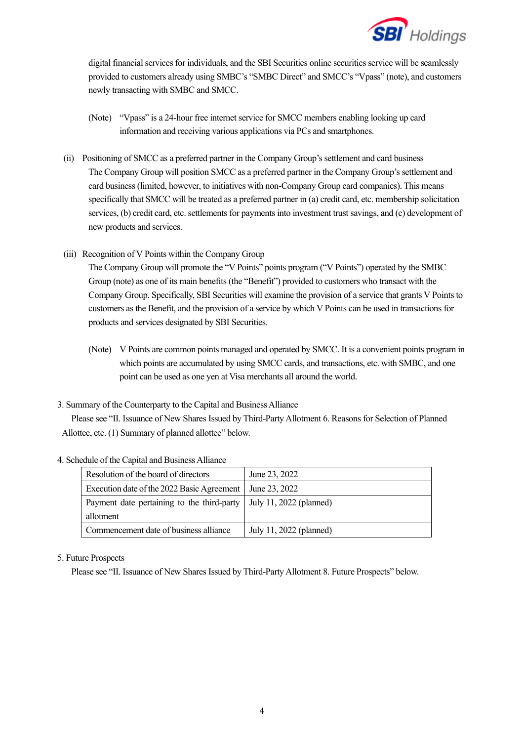

digital financial services for individuals, and the SBI Securities online securities service will be seamlessly provided to customers already using SMBC's "SMBC Direct" and SMCC's "Vpass" (note), and customers newly transacting with SMBC and SMCC.

- (Note) "Vpass" is a 24-hour free internet service for SMCC members enabling looking up card information and receiving various applications via PCs and smartphones.
- (ii) Positioning of SMCC as a preferred partner in the Company Group's settlement and card business The Company Group will position SMCC as a preferred partner in the Company Group's settlement and card business (limited, however, to initiatives with non-Company Group card companies). This means specifically that SMCC will be treated as a preferred partner in (a) credit card, etc. membership solicitation services, (b) credit card, etc. settlements for payments into investment trust savings, and (c) development of new products and services.
- (iii) Recognition of V Points within the Company Group

The Company Group will promote the "V Points" points program ("V Points") operated by the SMBC Group (note) as one of its main benefits (the "Benefit") provided to customers who transact with the Company Group. Specifically, SBI Securities will examine the provision of a service that grants V Points to customers as the Benefit, and the provision of a service by which V Points can be used in transactions for products and services designated by SBI Securities.

(Note) V Points are common points managed and operated by SMCC. It is a convenient points program in which points are accumulated by using SMCC cards, and transactions, etc. with SMBC, and one point can be used as one yen at Visa merchants all around the world.

### 3. Summary of the Counterparty to the Capital and Business Alliance

Please see "II. Issuance of New Shares Issued by Third-Party Allotment 6. Reasons for Selection of Planned Allottee, etc. (1) Summary of planned allottee" below.

| Resolution of the board of directors                                 | June 23, 2022           |
|----------------------------------------------------------------------|-------------------------|
| Execution date of the 2022 Basic Agreement                           | June 23, 2022           |
| Payment date pertaining to the third-party   July 11, 2022 (planned) |                         |
| allotment                                                            |                         |
| Commencement date of business alliance                               | July 11, 2022 (planned) |

### 4. Schedule of the Capital and Business Alliance

### 5. Future Prospects

Please see "II. Issuance of New Shares Issued by Third-Party Allotment 8. Future Prospects" below.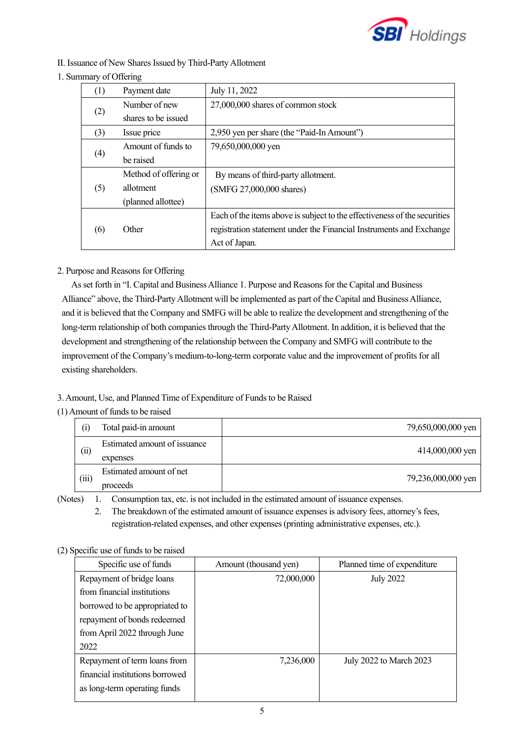

## II. Issuance of New Shares Issued by Third-Party Allotment

### 1. Summary of Offering

| (1) | Payment date          | July 11, 2022                                                             |
|-----|-----------------------|---------------------------------------------------------------------------|
|     | Number of new         | 27,000,000 shares of common stock                                         |
| (2) | shares to be issued   |                                                                           |
| (3) | Issue price           | 2,950 yen per share (the "Paid-In Amount")                                |
|     | Amount of funds to    | 79,650,000,000 yen                                                        |
| (4) | be raised             |                                                                           |
|     | Method of offering or | By means of third-party allotment.                                        |
| (5) | allotment             | (SMFG 27,000,000 shares)                                                  |
|     | (planned allottee)    |                                                                           |
|     |                       | Each of the items above is subject to the effectiveness of the securities |
| (6) | Other                 | registration statement under the Financial Instruments and Exchange       |
|     |                       | Act of Japan.                                                             |

## 2. Purpose and Reasons for Offering

As set forth in "I. Capital and Business Alliance 1. Purpose and Reasons for the Capital and Business Alliance" above, the Third-Party Allotment will be implemented as part of the Capital and Business Alliance, and it is believed that the Company and SMFG will be able to realize the development and strengthening of the long-term relationship of both companies through the Third-Party Allotment. In addition, it is believed that the development and strengthening of the relationship between the Company and SMFG will contribute to the improvement of the Company's medium-to-long-term corporate value and the improvement of profits for all existing shareholders.

## 3. Amount, Use, and Planned Time of Expenditure of Funds to be Raised

### (1) Amount of funds to be raised

| $\left( i\right)$          | Total paid-in amount                     | 79,650,000,000 yen |
|----------------------------|------------------------------------------|--------------------|
| $\left(\mathrm{ii}\right)$ | Estimated amount of issuance<br>expenses | 414,000,000 yen    |
| (iii)                      | Estimated amount of net<br>proceeds      | 79,236,000,000 yen |

(Notes) 1. Consumption tax, etc. is not included in the estimated amount of issuance expenses.

2. The breakdown of the estimated amount of issuance expenses is advisory fees, attorney's fees, registration-related expenses, and other expenses (printing administrative expenses, etc.).

| (2) Specific use of funds to be raised |
|----------------------------------------|
|                                        |

| Specific use of funds           | Amount (thousand yen) | Planned time of expenditure |
|---------------------------------|-----------------------|-----------------------------|
| Repayment of bridge loans       | 72,000,000            | <b>July 2022</b>            |
| from financial institutions     |                       |                             |
| borrowed to be appropriated to  |                       |                             |
| repayment of bonds redeemed     |                       |                             |
| from April 2022 through June    |                       |                             |
| 2022                            |                       |                             |
| Repayment of term loans from    | 7,236,000             | July 2022 to March 2023     |
| financial institutions borrowed |                       |                             |
| as long-term operating funds    |                       |                             |
|                                 |                       |                             |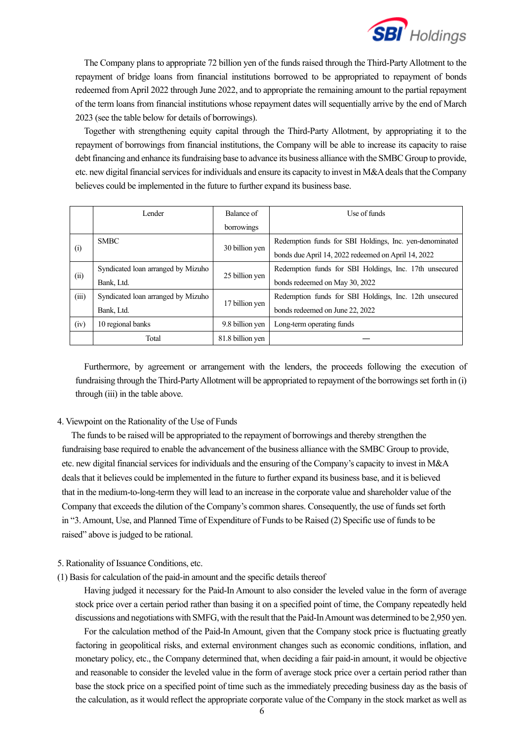

The Company plans to appropriate 72 billion yen of the funds raised through the Third-Party Allotment to the repayment of bridge loans from financial institutions borrowed to be appropriated to repayment of bonds redeemed from April 2022 through June 2022, and to appropriate the remaining amount to the partial repayment of the term loans from financial institutions whose repayment dates will sequentially arrive by the end of March 2023 (see the table below for details of borrowings).

Together with strengthening equity capital through the Third-Party Allotment, by appropriating it to the repayment of borrowings from financial institutions, the Company will be able to increase its capacity to raise debt financing and enhance its fundraising base to advance its business alliance with the SMBC Group to provide, etc. new digital financial services for individuals and ensure its capacity to invest in M&A deals that the Company believes could be implemented in the future to further expand its business base.

|       | Lender                             | Balance of       | Use of funds                                            |
|-------|------------------------------------|------------------|---------------------------------------------------------|
|       |                                    | borrowings       |                                                         |
|       | <b>SMBC</b>                        | 30 billion yen   | Redemption funds for SBI Holdings, Inc. yen-denominated |
| (i)   |                                    |                  | bonds due April 14, 2022 redeemed on April 14, 2022     |
|       | Syndicated loan arranged by Mizuho |                  | Redemption funds for SBI Holdings, Inc. 17th unsecured  |
| (ii)  | Bank, Ltd.                         | 25 billion yen   | bonds redeemed on May 30, 2022                          |
| (iii) | Syndicated loan arranged by Mizuho |                  | Redemption funds for SBI Holdings, Inc. 12th unsecured  |
|       | Bank, Ltd.                         | 17 billion yen   | bonds redeemed on June 22, 2022                         |
| (iv)  | 10 regional banks                  | 9.8 billion yen  | Long-term operating funds                               |
|       | Total                              | 81.8 billion yen |                                                         |

Furthermore, by agreement or arrangement with the lenders, the proceeds following the execution of fundraising through the Third-Party Allotment will be appropriated to repayment of the borrowings set forth in (i) through (iii) in the table above.

#### 4. Viewpoint on the Rationality of the Use of Funds

The funds to be raised will be appropriated to the repayment of borrowings and thereby strengthen the fundraising base required to enable the advancement of the business alliance with the SMBC Group to provide, etc. new digital financial services for individuals and the ensuring of the Company's capacity to invest in M&A deals that it believes could be implemented in the future to further expand its business base, and it is believed that in the medium-to-long-term they will lead to an increase in the corporate value and shareholder value of the Company that exceeds the dilution of the Company's common shares. Consequently, the use of funds set forth in "3. Amount, Use, and Planned Time of Expenditure of Funds to be Raised (2) Specific use of funds to be raised" above is judged to be rational.

#### 5. Rationality of Issuance Conditions, etc.

(1) Basis for calculation of the paid-in amount and the specific details thereof

Having judged it necessary for the Paid-In Amount to also consider the leveled value in the form of average stock price over a certain period rather than basing it on a specified point of time, the Company repeatedly held discussions and negotiations with SMFG, with the result that the Paid-In Amount was determined to be 2,950 yen.

For the calculation method of the Paid-In Amount, given that the Company stock price is fluctuating greatly factoring in geopolitical risks, and external environment changes such as economic conditions, inflation, and monetary policy, etc., the Company determined that, when deciding a fair paid-in amount, it would be objective and reasonable to consider the leveled value in the form of average stock price over a certain period rather than base the stock price on a specified point of time such as the immediately preceding business day as the basis of the calculation, as it would reflect the appropriate corporate value of the Company in the stock market as well as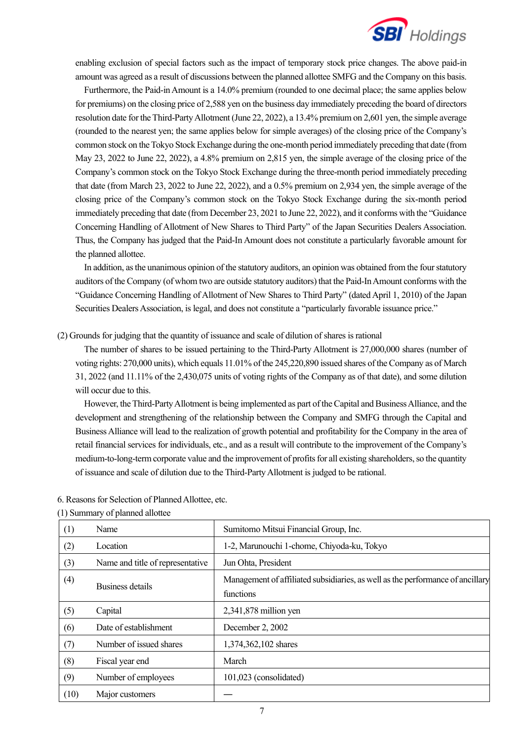

enabling exclusion of special factors such as the impact of temporary stock price changes. The above paid-in amount was agreed as a result of discussions between the planned allottee SMFG and the Company on this basis.

Furthermore, the Paid-in Amount is a 14.0% premium (rounded to one decimal place; the same applies below for premiums) on the closing price of 2,588 yen on the business day immediately preceding the board of directors resolution date for the Third-Party Allotment (June 22, 2022), a 13.4% premium on 2,601 yen, the simple average (rounded to the nearest yen; the same applies below for simple averages) of the closing price of the Company's common stock on the Tokyo Stock Exchange during the one-month period immediately preceding that date (from May 23, 2022 to June 22, 2022), a 4.8% premium on 2,815 yen, the simple average of the closing price of the Company's common stock on the Tokyo Stock Exchange during the three-month period immediately preceding that date (from March 23, 2022 to June 22, 2022), and a 0.5% premium on 2,934 yen, the simple average of the closing price of the Company's common stock on the Tokyo Stock Exchange during the six-month period immediately preceding that date (from December 23, 2021 to June 22, 2022), and it conforms with the "Guidance Concerning Handling of Allotment of New Shares to Third Party" of the Japan Securities Dealers Association. Thus, the Company has judged that the Paid-In Amount does not constitute a particularly favorable amount for the planned allottee.

In addition, as the unanimous opinion of the statutory auditors, an opinion was obtained from the four statutory auditors of the Company (of whom two are outside statutory auditors) that the Paid-In Amount conforms with the "Guidance Concerning Handling of Allotment of New Shares to Third Party" (dated April 1, 2010) of the Japan Securities Dealers Association, is legal, and does not constitute a "particularly favorable issuance price."

(2) Grounds for judging that the quantity of issuance and scale of dilution of shares is rational

The number of shares to be issued pertaining to the Third-Party Allotment is 27,000,000 shares (number of voting rights: 270,000 units), which equals 11.01% of the 245,220,890 issued shares of the Company as of March 31, 2022 (and 11.11% of the 2,430,075 units of voting rights of the Company as of that date), and some dilution will occur due to this.

However, the Third-Party Allotment is being implemented as part of the Capital and Business Alliance, and the development and strengthening of the relationship between the Company and SMFG through the Capital and Business Alliance will lead to the realization of growth potential and profitability for the Company in the area of retail financial services for individuals, etc., and as a result will contribute to the improvement of the Company's medium-to-long-term corporate value and the improvement of profits for all existing shareholders, so the quantity of issuance and scale of dilution due to the Third-Party Allotment is judged to be rational.

|      | 1) Summary 01 planned another    |                                                                                |
|------|----------------------------------|--------------------------------------------------------------------------------|
| (1)  | Name                             | Sumitomo Mitsui Financial Group, Inc.                                          |
| (2)  | Location                         | 1-2, Marunouchi 1-chome, Chiyoda-ku, Tokyo                                     |
| (3)  | Name and title of representative | Jun Ohta, President                                                            |
| (4)  |                                  | Management of affiliated subsidiaries, as well as the performance of ancillary |
|      | Business details                 | functions                                                                      |
| (5)  | Capital                          | 2,341,878 million yen                                                          |
| (6)  | Date of establishment            | December 2, 2002                                                               |
| (7)  | Number of issued shares          | 1,374,362,102 shares                                                           |
| (8)  | Fiscal year end                  | March                                                                          |
| (9)  | Number of employees              | 101,023 (consolidated)                                                         |
| (10) | Major customers                  |                                                                                |

6. Reasons for Selection of Planned Allottee, etc.

(1) Summary of planned allottee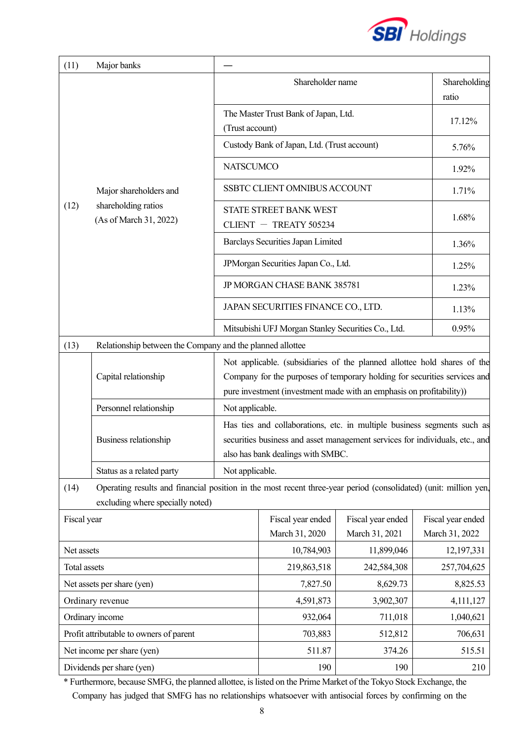

| (11)                       | Major banks                                                                                                                                          |                                                    |                                                                                                                                                                                              |                   |                       |  |
|----------------------------|------------------------------------------------------------------------------------------------------------------------------------------------------|----------------------------------------------------|----------------------------------------------------------------------------------------------------------------------------------------------------------------------------------------------|-------------------|-----------------------|--|
|                            |                                                                                                                                                      | Shareholder name                                   |                                                                                                                                                                                              |                   | Shareholding<br>ratio |  |
|                            |                                                                                                                                                      |                                                    | The Master Trust Bank of Japan, Ltd.<br>(Trust account)                                                                                                                                      |                   |                       |  |
|                            |                                                                                                                                                      | Custody Bank of Japan, Ltd. (Trust account)        | 5.76%                                                                                                                                                                                        |                   |                       |  |
|                            |                                                                                                                                                      | <b>NATSCUMCO</b>                                   | 1.92%                                                                                                                                                                                        |                   |                       |  |
|                            | Major shareholders and                                                                                                                               |                                                    | SSBTC CLIENT OMNIBUS ACCOUNT                                                                                                                                                                 |                   | 1.71%                 |  |
| (12)                       | shareholding ratios<br>(As of March 31, 2022)                                                                                                        |                                                    | STATE STREET BANK WEST<br>CLIENT $-$ TREATY 505234                                                                                                                                           |                   | 1.68%                 |  |
|                            |                                                                                                                                                      |                                                    | Barclays Securities Japan Limited                                                                                                                                                            |                   | 1.36%                 |  |
|                            |                                                                                                                                                      |                                                    | JPMorgan Securities Japan Co., Ltd.                                                                                                                                                          |                   | 1.25%                 |  |
|                            |                                                                                                                                                      |                                                    | JP MORGAN CHASE BANK 385781                                                                                                                                                                  |                   | 1.23%                 |  |
|                            |                                                                                                                                                      |                                                    | JAPAN SECURITIES FINANCE CO., LTD.                                                                                                                                                           |                   | 1.13%                 |  |
|                            |                                                                                                                                                      | Mitsubishi UFJ Morgan Stanley Securities Co., Ltd. | 0.95%                                                                                                                                                                                        |                   |                       |  |
| (13)                       | Relationship between the Company and the planned allottee                                                                                            |                                                    |                                                                                                                                                                                              |                   |                       |  |
|                            | Capital relationship                                                                                                                                 |                                                    | Not applicable. (subsidiaries of the planned allottee hold shares of the<br>Company for the purposes of temporary holding for securities services and                                        |                   |                       |  |
|                            |                                                                                                                                                      |                                                    | pure investment (investment made with an emphasis on profitability))                                                                                                                         |                   |                       |  |
|                            | Personnel relationship                                                                                                                               | Not applicable.                                    |                                                                                                                                                                                              |                   |                       |  |
|                            | Business relationship                                                                                                                                |                                                    | Has ties and collaborations, etc. in multiple business segments such as<br>securities business and asset management services for individuals, etc., and<br>also has bank dealings with SMBC. |                   |                       |  |
|                            | Status as a related party                                                                                                                            | Not applicable.                                    |                                                                                                                                                                                              |                   |                       |  |
| (14)                       | Operating results and financial position in the most recent three-year period (consolidated) (unit: million yen,<br>excluding where specially noted) |                                                    |                                                                                                                                                                                              |                   |                       |  |
| Fiscal year                |                                                                                                                                                      |                                                    | Fiscal year ended                                                                                                                                                                            | Fiscal year ended | Fiscal year ended     |  |
|                            |                                                                                                                                                      |                                                    | March 31, 2020                                                                                                                                                                               | March 31, 2021    | March 31, 2022        |  |
| Net assets                 |                                                                                                                                                      |                                                    | 10,784,903                                                                                                                                                                                   | 11,899,046        | 12,197,331            |  |
| Total assets               |                                                                                                                                                      | 219,863,518                                        | 242,584,308                                                                                                                                                                                  | 257,704,625       |                       |  |
| Net assets per share (yen) |                                                                                                                                                      | 7,827.50                                           | 8,629.73                                                                                                                                                                                     | 8,825.53          |                       |  |
| Ordinary revenue           |                                                                                                                                                      | 4,591,873                                          | 3,902,307                                                                                                                                                                                    | 4,111,127         |                       |  |
| Ordinary income            |                                                                                                                                                      | 932,064                                            | 711,018                                                                                                                                                                                      | 1,040,621         |                       |  |
|                            | Profit attributable to owners of parent                                                                                                              |                                                    | 703,883                                                                                                                                                                                      | 512,812           | 706,631               |  |
| Net income per share (yen) |                                                                                                                                                      | 511.87                                             | 374.26                                                                                                                                                                                       | 515.51            |                       |  |
| Dividends per share (yen)  |                                                                                                                                                      |                                                    | 190                                                                                                                                                                                          | 190               | 210                   |  |

\* Furthermore, because SMFG, the planned allottee, is listed on the Prime Market of the Tokyo Stock Exchange, the Company has judged that SMFG has no relationships whatsoever with antisocial forces by confirming on the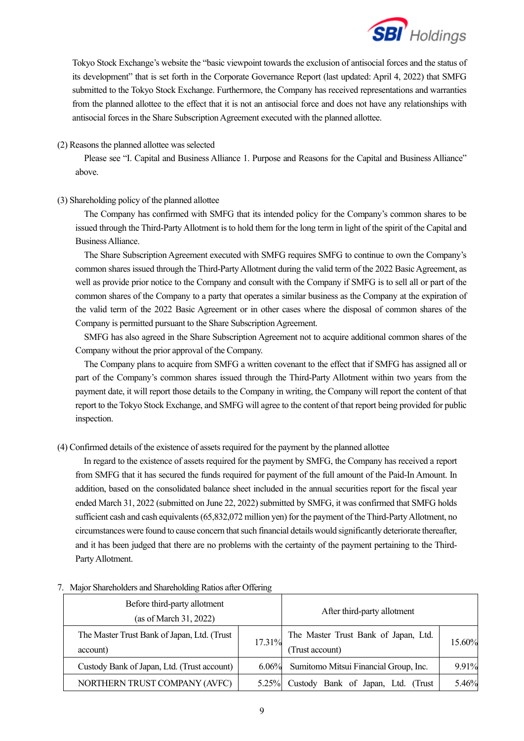

Tokyo Stock Exchange's website the "basic viewpoint towards the exclusion of antisocial forces and the status of its development" that is set forth in the Corporate Governance Report (last updated: April 4, 2022) that SMFG submitted to the Tokyo Stock Exchange. Furthermore, the Company has received representations and warranties from the planned allottee to the effect that it is not an antisocial force and does not have any relationships with antisocial forces in the Share Subscription Agreement executed with the planned allottee.

### (2) Reasons the planned allottee was selected

Please see "I. Capital and Business Alliance 1. Purpose and Reasons for the Capital and Business Alliance" above.

### (3) Shareholding policy of the planned allottee

The Company has confirmed with SMFG that its intended policy for the Company's common shares to be issued through the Third-Party Allotment is to hold them for the long term in light of the spirit of the Capital and Business Alliance.

The Share Subscription Agreement executed with SMFG requires SMFG to continue to own the Company's common shares issued through the Third-Party Allotment during the valid term of the 2022 Basic Agreement, as well as provide prior notice to the Company and consult with the Company if SMFG is to sell all or part of the common shares of the Company to a party that operates a similar business as the Company at the expiration of the valid term of the 2022 Basic Agreement or in other cases where the disposal of common shares of the Company is permitted pursuant to the Share Subscription Agreement.

SMFG has also agreed in the Share Subscription Agreement not to acquire additional common shares of the Company without the prior approval of the Company.

The Company plans to acquire from SMFG a written covenant to the effect that if SMFG has assigned all or part of the Company's common shares issued through the Third-Party Allotment within two years from the payment date, it will report those details to the Company in writing, the Company will report the content of that report to the Tokyo Stock Exchange, and SMFG will agree to the content of that report being provided for public inspection.

### (4) Confirmed details of the existence of assets required for the payment by the planned allottee

In regard to the existence of assets required for the payment by SMFG, the Company has received a report from SMFG that it has secured the funds required for payment of the full amount of the Paid-In Amount. In addition, based on the consolidated balance sheet included in the annual securities report for the fiscal year ended March 31, 2022 (submitted on June 22, 2022) submitted by SMFG, it was confirmed that SMFG holds sufficient cash and cash equivalents (65,832,072 million yen) for the payment of the Third-Party Allotment, no circumstances were found to cause concern that such financial details would significantly deteriorate thereafter, and it has been judged that there are no problems with the certainty of the payment pertaining to the Third-Party Allotment.

| Before third-party allotment<br>(as of March 31, 2022)  |          | After third-party allotment                             |        |
|---------------------------------------------------------|----------|---------------------------------------------------------|--------|
| The Master Trust Bank of Japan, Ltd. (Trust<br>account) | 17.31%   | The Master Trust Bank of Japan, Ltd.<br>(Trust account) | 15.60% |
| Custody Bank of Japan, Ltd. (Trust account)             | $6.06\%$ | Sumitomo Mitsui Financial Group, Inc.                   | 9.91%  |
| NORTHERN TRUST COMPANY (AVFC)                           | $5.25\%$ | Custody Bank of Japan, Ltd. (Trust                      | 5.46%  |

#### 7. Major Shareholders and Shareholding Ratios after Offering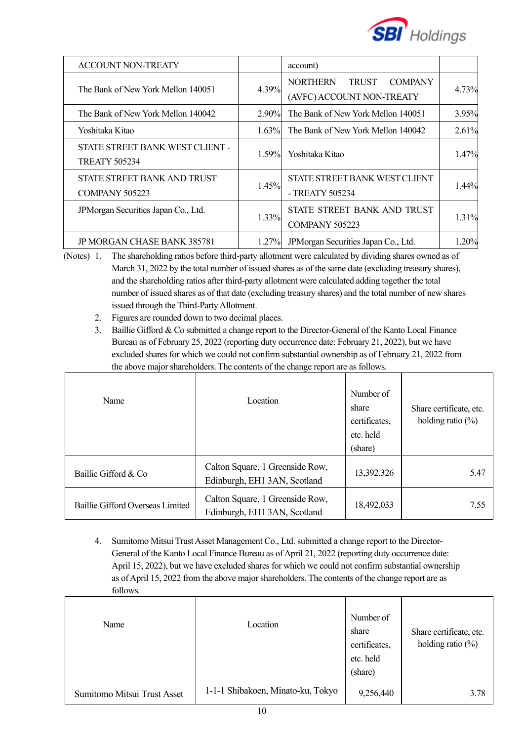

| <b>ACCOUNT NON-TREATY</b>                               |          | account)                                                                       |          |
|---------------------------------------------------------|----------|--------------------------------------------------------------------------------|----------|
| The Bank of New York Mellon 140051                      | 4.39%    | <b>NORTHERN</b><br><b>COMPANY</b><br><b>TRUST</b><br>(AVFC) ACCOUNT NON-TREATY | 4.73%    |
| The Bank of New York Mellon 140042                      | $2.90\%$ | The Bank of New York Mellon 140051                                             | 3.95%    |
| Yoshitaka Kitao                                         | 1.63%    | The Bank of New York Mellon 140042                                             | 2.61%    |
| STATE STREET BANK WEST CLIENT -<br><b>TREATY 505234</b> | 1.59%    | Yoshitaka Kitao                                                                | 1.47%    |
| STATE STREET BANK AND TRUST<br><b>COMPANY 505223</b>    | 1.45%    | STATE STREET BANK WEST CLIENT<br>- TREATY 505234                               | $1.44\%$ |
| JPM organ Securities Japan Co., Ltd.                    | 1.33%    | STATE STREET BANK AND TRUST<br>COMPANY 505223                                  | 1.31%    |
| JP MORGAN CHASE BANK 385781                             | $1.27\%$ | JPM organ Securities Japan Co., Ltd.                                           | 1.20%    |

(Notes) 1. The shareholding ratios before third-party allotment were calculated by dividing shares owned as of March 31, 2022 by the total number of issued shares as of the same date (excluding treasury shares), and the shareholding ratios after third-party allotment were calculated adding together the total number of issued shares as of that date (excluding treasury shares) and the total number of new shares issued through the Third-Party Allotment.

- 2. Figures are rounded down to two decimal places.
- 3. Baillie Gifford & Co submitted a change report to the Director-General of the Kanto Local Finance Bureau as of February 25, 2022 (reporting duty occurrence date: February 21, 2022), but we have excluded shares for which we could not confirm substantial ownership as of February 21, 2022 from the above major shareholders. The contents of the change report are as follows.

| Name                             | Location                                                        | Number of<br>share<br>certificates,<br>etc. held<br>(share) | Share certificate, etc.<br>holding ratio $(\%)$ |
|----------------------------------|-----------------------------------------------------------------|-------------------------------------------------------------|-------------------------------------------------|
| Baillie Gifford & Co             | Calton Square, 1 Greenside Row,<br>Edinburgh, EH1 3AN, Scotland | 13,392,326                                                  | 5.47                                            |
| Baillie Gifford Overseas Limited | Calton Square, 1 Greenside Row,<br>Edinburgh, EH1 3AN, Scotland | 18,492,033                                                  | 7.55                                            |

4. Sumitomo Mitsui Trust Asset Management Co., Ltd. submitted a change report to the Director-General of the Kanto Local Finance Bureau as of April 21, 2022 (reporting duty occurrence date: April 15, 2022), but we have excluded shares for which we could not confirm substantial ownership as of April 15, 2022 from the above major shareholders. The contents of the change report are as follows.

| Name                        | Location                          | Number of<br>share<br>certificates,<br>etc. held<br>(share) | Share certificate, etc.<br>holding ratio $(\%)$ |
|-----------------------------|-----------------------------------|-------------------------------------------------------------|-------------------------------------------------|
| Sumitomo Mitsui Trust Asset | 1-1-1 Shibakoen, Minato-ku, Tokyo | 9,256,440                                                   | 3.78                                            |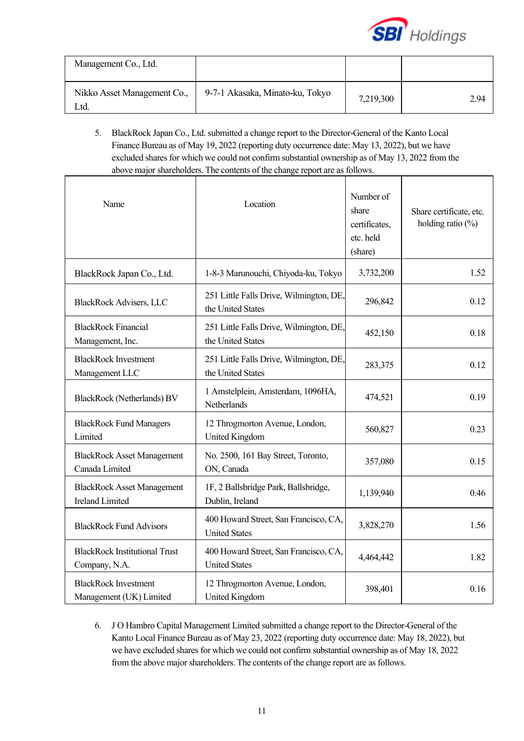

| Management Co., Ltd.                |                                 |           |      |
|-------------------------------------|---------------------------------|-----------|------|
| Nikko Asset Management Co.,<br>_td. | 9-7-1 Akasaka, Minato-ku, Tokyo | 7,219,300 | 2.94 |

5. BlackRock Japan Co., Ltd. submitted a change report to the Director-General of the Kanto Local Finance Bureau as of May 19, 2022 (reporting duty occurrence date: May 13, 2022), but we have excluded shares for which we could not confirm substantial ownership as of May 13, 2022 from the above major shareholders. The contents of the change report are as follows.

| Name                                                        | Location                                                      | Number of<br>share<br>certificates,<br>etc. held<br>(share) | Share certificate, etc.<br>holding ratio $(\%)$ |
|-------------------------------------------------------------|---------------------------------------------------------------|-------------------------------------------------------------|-------------------------------------------------|
| BlackRock Japan Co., Ltd.                                   | 1-8-3 Marunouchi, Chiyoda-ku, Tokyo                           | 3,732,200                                                   | 1.52                                            |
| <b>BlackRock Advisers, LLC</b>                              | 251 Little Falls Drive, Wilmington, DE,<br>the United States  | 296,842                                                     | 0.12                                            |
| <b>BlackRock Financial</b><br>Management, Inc.              | 251 Little Falls Drive, Wilmington, DE,<br>the United States  | 452,150                                                     | 0.18                                            |
| <b>BlackRock Investment</b><br>Management LLC               | 251 Little Falls Drive, Wilmington, DE,<br>the United States  | 283,375                                                     | 0.12                                            |
| <b>BlackRock</b> (Netherlands) BV                           | 1 Amstelplein, Amsterdam, 1096HA,<br>Netherlands              | 474,521                                                     | 0.19                                            |
| <b>BlackRock Fund Managers</b><br>Limited                   | 12 Throgmorton Avenue, London,<br>United Kingdom              | 560,827                                                     | 0.23                                            |
| <b>BlackRock Asset Management</b><br>Canada Limited         | No. 2500, 161 Bay Street, Toronto,<br>ON, Canada              | 357,080                                                     | 0.15                                            |
| <b>BlackRock Asset Management</b><br><b>Ireland Limited</b> | 1F, 2 Ballsbridge Park, Ballsbridge,<br>Dublin, Ireland       | 1,139,940                                                   | 0.46                                            |
| <b>BlackRock Fund Advisors</b>                              | 400 Howard Street, San Francisco, CA,<br><b>United States</b> | 3,828,270                                                   | 1.56                                            |
| <b>BlackRock Institutional Trust</b><br>Company, N.A.       | 400 Howard Street, San Francisco, CA,<br><b>United States</b> | 4,464,442                                                   | 1.82                                            |
| <b>BlackRock Investment</b><br>Management (UK) Limited      | 12 Throgmorton Avenue, London,<br>United Kingdom              | 398,401                                                     | 0.16                                            |

6. J O Hambro Capital Management Limited submitted a change report to the Director-General of the Kanto Local Finance Bureau as of May 23, 2022 (reporting duty occurrence date: May 18, 2022), but we have excluded shares for which we could not confirm substantial ownership as of May 18, 2022 from the above major shareholders. The contents of the change report are as follows.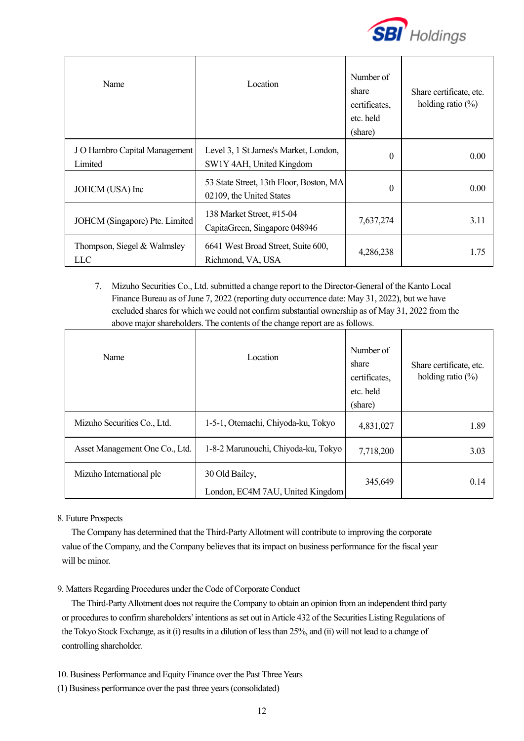

| Name                                     | Location                                                            | Number of<br>share<br>certificates.<br>etc. held<br>(share) | Share certificate, etc.<br>holding ratio $(\%)$ |
|------------------------------------------|---------------------------------------------------------------------|-------------------------------------------------------------|-------------------------------------------------|
| J O Hambro Capital Management<br>Limited | Level 3, 1 St James's Market, London,<br>SW1Y 4AH, United Kingdom   | $\Omega$                                                    | 0.00                                            |
| JOHCM (USA) Inc                          | 53 State Street, 13th Floor, Boston, MA<br>02109, the United States | $\theta$                                                    | 0.00                                            |
| JOHCM (Singapore) Pte. Limited           | 138 Market Street, #15-04<br>CapitaGreen, Singapore 048946          | 7,637,274                                                   | 3.11                                            |
| Thompson, Siegel & Walmsley<br>LLC       | 6641 West Broad Street, Suite 600,<br>Richmond, VA, USA             | 4,286,238                                                   | 1.75                                            |

7. Mizuho Securities Co., Ltd. submitted a change report to the Director-General of the Kanto Local Finance Bureau as of June 7, 2022 (reporting duty occurrence date: May 31, 2022), but we have excluded shares for which we could not confirm substantial ownership as of May 31, 2022 from the above major shareholders. The contents of the change report are as follows.

| Name                           | Location                                           | Number of<br>share<br>certificates,<br>etc. held<br>(share) | Share certificate, etc.<br>holding ratio $(\%)$ |
|--------------------------------|----------------------------------------------------|-------------------------------------------------------------|-------------------------------------------------|
| Mizuho Securities Co., Ltd.    | 1-5-1, Otemachi, Chiyoda-ku, Tokyo                 | 4,831,027                                                   | 1.89                                            |
| Asset Management One Co., Ltd. | 1-8-2 Marunouchi, Chiyoda-ku, Tokyo                | 7,718,200                                                   | 3.03                                            |
| Mizuho International plc       | 30 Old Bailey,<br>London, EC4M 7AU, United Kingdom | 345,649                                                     | 0.14                                            |

### 8. Future Prospects

The Company has determined that the Third-Party Allotment will contribute to improving the corporate value of the Company, and the Company believes that its impact on business performance for the fiscal year will be minor.

### 9. Matters Regarding Procedures under the Code of Corporate Conduct

The Third-Party Allotment does not require the Company to obtain an opinion from an independent third party or procedures to confirm shareholders' intentions as set out in Article 432 of the Securities Listing Regulations of the Tokyo Stock Exchange, as it (i) results in a dilution of less than 25%, and (ii) will not lead to a change of controlling shareholder.

10. Business Performance and Equity Finance over the Past Three Years

(1) Business performance over the past three years (consolidated)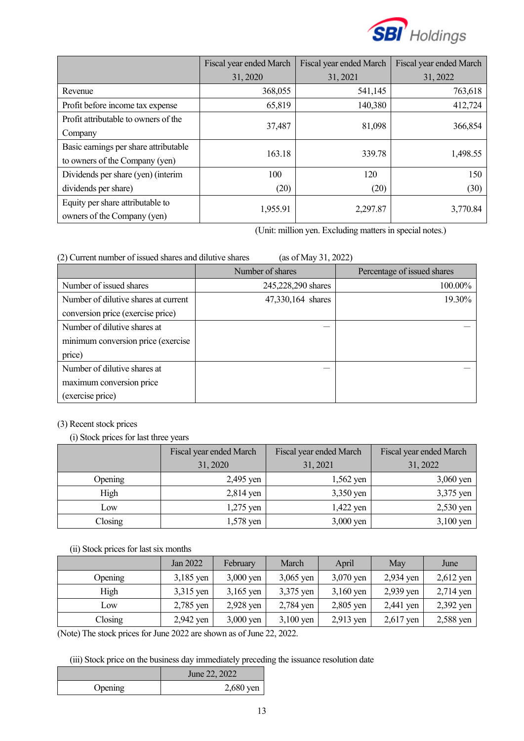

|                                       | Fiscal year ended March | Fiscal year ended March | Fiscal year ended March |  |
|---------------------------------------|-------------------------|-------------------------|-------------------------|--|
|                                       | 31, 2020                | 31, 2021                | 31, 2022                |  |
| Revenue                               | 368,055                 | 541,145                 | 763,618                 |  |
| Profit before income tax expense      | 65,819                  | 140,380                 | 412,724                 |  |
| Profit attributable to owners of the  |                         |                         |                         |  |
| Company                               | 37,487                  | 81,098                  | 366,854                 |  |
| Basic earnings per share attributable | 163.18                  | 339.78                  | 1,498.55                |  |
| to owners of the Company (yen)        |                         |                         |                         |  |
| Dividends per share (yen) (interim    | 100                     | 120                     | 150                     |  |
| dividends per share)                  | (20)                    | (20)                    | (30)                    |  |
| Equity per share attributable to      | 1,955.91                | 2,297.87                | 3,770.84                |  |
| owners of the Company (yen)           |                         |                         |                         |  |

(Unit: million yen. Excluding matters in special notes.)

| (as of May 31, 2022)<br>(2) Current number of issued shares and dilutive shares |                    |                             |  |  |
|---------------------------------------------------------------------------------|--------------------|-----------------------------|--|--|
|                                                                                 | Number of shares   | Percentage of issued shares |  |  |
| Number of issued shares                                                         | 245,228,290 shares | 100.00%                     |  |  |
| Number of dilutive shares at current                                            | 47,330,164 shares  | 19.30%                      |  |  |
| conversion price (exercise price)                                               |                    |                             |  |  |
| Number of dilutive shares at                                                    |                    |                             |  |  |
| minimum conversion price (exercise                                              |                    |                             |  |  |
| price)                                                                          |                    |                             |  |  |
| Number of dilutive shares at                                                    |                    |                             |  |  |
| maximum conversion price                                                        |                    |                             |  |  |
| (exercise price)                                                                |                    |                             |  |  |

### (3) Recent stock prices

(i) Stock prices for last three years

|         | Fiscal year ended March | Fiscal year ended March | Fiscal year ended March |
|---------|-------------------------|-------------------------|-------------------------|
|         | 31, 2020                | 31, 2021                | 31, 2022                |
| Opening | 2,495 yen               | $1,562$ yen             | $3,060$ yen             |
| High    | $2,814$ yen             | 3,350 yen               | 3,375 yen               |
| Low     | 1,275 yen               | 1,422 yen               | $2,530$ yen             |
| Closing | 1,578 yen               | $3,000$ yen             | $3,100$ yen             |

## (ii) Stock prices for last six months

|         | Jan 2022    | February    | March       | April       | May         | June        |
|---------|-------------|-------------|-------------|-------------|-------------|-------------|
| Opening | $3,185$ yen | $3,000$ yen | $3,065$ yen | $3,070$ yen | 2,934 yen   | $2,612$ yen |
| High    | 3,315 yen   | $3,165$ yen | 3,375 yen   | $3,160$ yen | 2,939 yen   | $2,714$ yen |
| Low     | 2,785 yen   | 2,928 yen   | 2,784 yen   | $2,805$ yen | 2,441 yen   | 2,392 yen   |
| Closing | 2,942 yen   | $3,000$ yen | $3,100$ yen | $2,913$ yen | $2,617$ yen | 2,588 yen   |

(Note) The stock prices for June 2022 are shown as of June 22, 2022.

(iii) Stock price on the business day immediately preceding the issuance resolution date

|         | June 22, 2022 |
|---------|---------------|
| Opening | $2,680$ yen   |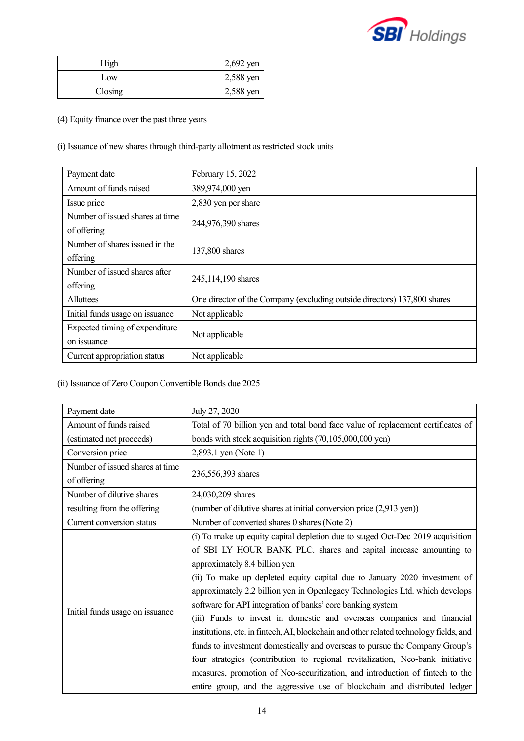

| High    | $2,692$ yen |
|---------|-------------|
| Low     | 2,588 yen   |
| Closing | 2,588 yen   |

(4) Equity finance over the past three years

(i) Issuance of new shares through third-party allotment as restricted stock units

| Payment date                    | February 15, 2022                                                        |
|---------------------------------|--------------------------------------------------------------------------|
| Amount of funds raised          | 389,974,000 yen                                                          |
| Issue price                     | 2,830 yen per share                                                      |
| Number of issued shares at time | 244,976,390 shares                                                       |
| of offering                     |                                                                          |
| Number of shares issued in the  | 137,800 shares                                                           |
| offering                        |                                                                          |
| Number of issued shares after   | 245,114,190 shares                                                       |
| offering                        |                                                                          |
| Allottees                       | One director of the Company (excluding outside directors) 137,800 shares |
| Initial funds usage on issuance | Not applicable                                                           |
| Expected timing of expenditure  |                                                                          |
| on issuance                     | Not applicable                                                           |
| Current appropriation status    | Not applicable                                                           |

# (ii) Issuance of Zero Coupon Convertible Bonds due 2025

| Payment date                    | July 27, 2020                                                                                                                                                                                                                                                                                                                                                                                                                                                                                                                                                                                                                                                                                                                                                                                                                                                                                                     |
|---------------------------------|-------------------------------------------------------------------------------------------------------------------------------------------------------------------------------------------------------------------------------------------------------------------------------------------------------------------------------------------------------------------------------------------------------------------------------------------------------------------------------------------------------------------------------------------------------------------------------------------------------------------------------------------------------------------------------------------------------------------------------------------------------------------------------------------------------------------------------------------------------------------------------------------------------------------|
| Amount of funds raised          | Total of 70 billion yen and total bond face value of replacement certificates of                                                                                                                                                                                                                                                                                                                                                                                                                                                                                                                                                                                                                                                                                                                                                                                                                                  |
| (estimated net proceeds)        | bonds with stock acquisition rights (70,105,000,000 yen)                                                                                                                                                                                                                                                                                                                                                                                                                                                                                                                                                                                                                                                                                                                                                                                                                                                          |
| Conversion price                | 2,893.1 yen (Note 1)                                                                                                                                                                                                                                                                                                                                                                                                                                                                                                                                                                                                                                                                                                                                                                                                                                                                                              |
| Number of issued shares at time |                                                                                                                                                                                                                                                                                                                                                                                                                                                                                                                                                                                                                                                                                                                                                                                                                                                                                                                   |
| of offering                     | 236,556,393 shares                                                                                                                                                                                                                                                                                                                                                                                                                                                                                                                                                                                                                                                                                                                                                                                                                                                                                                |
| Number of dilutive shares       | 24,030,209 shares                                                                                                                                                                                                                                                                                                                                                                                                                                                                                                                                                                                                                                                                                                                                                                                                                                                                                                 |
| resulting from the offering     | (number of dilutive shares at initial conversion price (2,913 yen))                                                                                                                                                                                                                                                                                                                                                                                                                                                                                                                                                                                                                                                                                                                                                                                                                                               |
| Current conversion status       | Number of converted shares 0 shares (Note 2)                                                                                                                                                                                                                                                                                                                                                                                                                                                                                                                                                                                                                                                                                                                                                                                                                                                                      |
| Initial funds usage on issuance | (i) To make up equity capital depletion due to staged Oct-Dec 2019 acquisition<br>of SBI LY HOUR BANK PLC. shares and capital increase amounting to<br>approximately 8.4 billion yen<br>(ii) To make up depleted equity capital due to January 2020 investment of<br>approximately 2.2 billion yen in Openlegacy Technologies Ltd. which develops<br>software for API integration of banks' core banking system<br>(iii) Funds to invest in domestic and overseas companies and financial<br>institutions, etc. in fintech, AI, blockchain and other related technology fields, and<br>funds to investment domestically and overseas to pursue the Company Group's<br>four strategies (contribution to regional revitalization, Neo-bank initiative<br>measures, promotion of Neo-securitization, and introduction of fintech to the<br>entire group, and the aggressive use of blockchain and distributed ledger |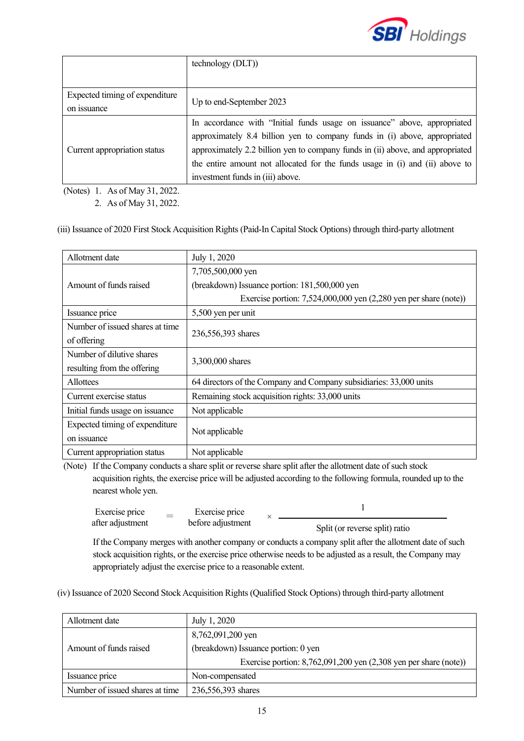

|                                | technology (DLT))                                                              |  |
|--------------------------------|--------------------------------------------------------------------------------|--|
|                                |                                                                                |  |
| Expected timing of expenditure |                                                                                |  |
| on issuance                    | Up to end-September 2023                                                       |  |
|                                | In accordance with "Initial funds usage on issuance" above, appropriated       |  |
| Current appropriation status   | approximately 8.4 billion yen to company funds in (i) above, appropriated      |  |
|                                | approximately 2.2 billion yen to company funds in (ii) above, and appropriated |  |
|                                | the entire amount not allocated for the funds usage in (i) and (ii) above to   |  |
|                                | investment funds in (iii) above.                                               |  |

(Notes) 1. As of May 31, 2022.

2. As of May 31, 2022.

(iii) Issuance of 2020 First Stock Acquisition Rights (Paid-In Capital Stock Options) through third-party allotment

| Allotment date                  | July 1, 2020                                                          |  |
|---------------------------------|-----------------------------------------------------------------------|--|
|                                 | 7,705,500,000 yen                                                     |  |
| Amount of funds raised          | (breakdown) Issuance portion: 181,500,000 yen                         |  |
|                                 | Exercise portion: $7,524,000,000$ yen $(2,280)$ yen per share (note)) |  |
| Issuance price                  | 5,500 yen per unit                                                    |  |
| Number of issued shares at time | 236,556,393 shares                                                    |  |
| of offering                     |                                                                       |  |
| Number of dilutive shares       | 3,300,000 shares                                                      |  |
| resulting from the offering     |                                                                       |  |
| <b>Allottees</b>                | 64 directors of the Company and Company subsidiaries: 33,000 units    |  |
| Current exercise status         | Remaining stock acquisition rights: 33,000 units                      |  |
| Initial funds usage on issuance | Not applicable                                                        |  |
| Expected timing of expenditure  |                                                                       |  |
| on issuance                     | Not applicable                                                        |  |
| Current appropriation status    | Not applicable                                                        |  |

(Note) If the Company conducts a share split or reverse share split after the allotment date of such stock acquisition rights, the exercise price will be adjusted according to the following formula, rounded up to the nearest whole yen.

| Exercise price   | Exercise price    |                                |
|------------------|-------------------|--------------------------------|
| after adjustment | before adjustment | Split (or reverse split) ratio |

If the Company merges with another company or conducts a company split after the allotment date of such stock acquisition rights, or the exercise price otherwise needs to be adjusted as a result, the Company may appropriately adjust the exercise price to a reasonable extent.

(iv) Issuance of 2020 Second Stock Acquisition Rights (Qualified Stock Options) through third-party allotment

| Allotment date                  | July 1, 2020                                                          |  |  |
|---------------------------------|-----------------------------------------------------------------------|--|--|
|                                 | 8,762,091,200 yen                                                     |  |  |
| Amount of funds raised          | (breakdown) Issuance portion: 0 yen                                   |  |  |
|                                 | Exercise portion: $8,762,091,200$ yen $(2,308)$ yen per share (note)) |  |  |
| Issuance price                  | Non-compensated                                                       |  |  |
| Number of issued shares at time | 236,556,393 shares                                                    |  |  |